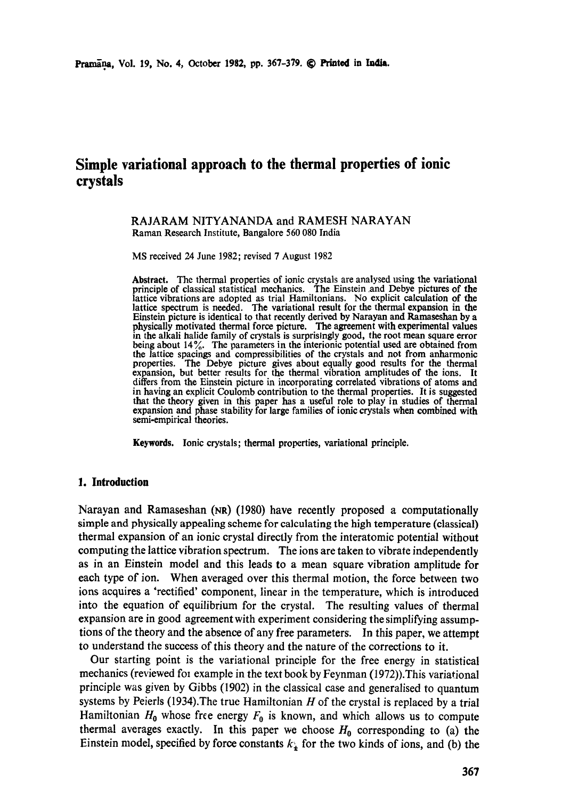# **Simple variational approach to the thermal properties of ionic crystals**

#### RAJARAM NITYANANDA and RAMESH NARAYAN Raman Research Institute, Bangalore 560 080 India

MS received 24 June 1982; revised 7 August 1982

**Abstract.** The thermal properties of ionic crystals are analysed using the variational principle of classical statistical mechanics. The Einstein .and Debye pictures of the lattice vibrations are adopted as trial Hamiltonians. No explicit calculation of the **lattice** spectrum is needed. The variational result for the thermal expansion in the Einstein picture is identical to that recently derived by Narayan and Ramaseshan by a physically motivated thermal force picture. The agreement with experimental values in the alkali halide family of crystals is surprisingly good, the root mean square error being about 14%. The parameters in the interionic potential used are obtained from the lattice spacings and compressibilities of the crystals and not from anharmonic properties. The Debye picture gives about equally good results for the thermal expansion, but better results for the thermal vibration amplitudes of the ions. It differs from the Einstein picture in incorporating correlated vibrations of atoms and in having an explicit Coulomb contribution to the thermal properties. It is suggested that the theory given in this paper has a useful role to play in studies of thermal expansion and phase stability for large families of ionic crystals when combined with semi-empirical theories.

Keywords. Ionic crystals; thermal properties, variational principle.

#### **1. Introduction**

Narayan and Ramaseshan (NR) (1980) have recently proposed a computationally simple and physically appealing scheme for calculating the high temperature (classical) thermal expansion of an ionic crystal directly from the interatomic potential without computing the lattice vibration spectrum. The ions are taken to vibrate independently as in an Einstein model and this leads to a mean square vibration amplitude for each type of ion. When averaged over this thermal motion, the force between two ions acquires a 'rectified' component, linear in the temperature, which is introduced into the equation of equilibrium for the crystal. The resulting values of thermal expansion are in good agreement with experiment considering the simplifying assumptions of the theory and the absence of any free parameters. In this paper, we attempt to understand the success of this theory and the nature of the corrections to it.

Our starting point is the variational principle for the free energy in statistical mechanics (reviewed fol example in the text book by Feynman (1972)).This variational principle was given by Gibbs (1902) in the classical case and generalised to quantum systems by Peierls (1934). The true Hamiltonian  $H$  of the crystal is replaced by a trial Hamiltonian  $H_0$  whose free energy  $F_0$  is known, and which allows us to compute thermal averages exactly. In this paper we choose  $H_0$  corresponding to (a) the Einstein model, specified by force constants  $k_{\perp}$  for the two kinds of ions, and (b) the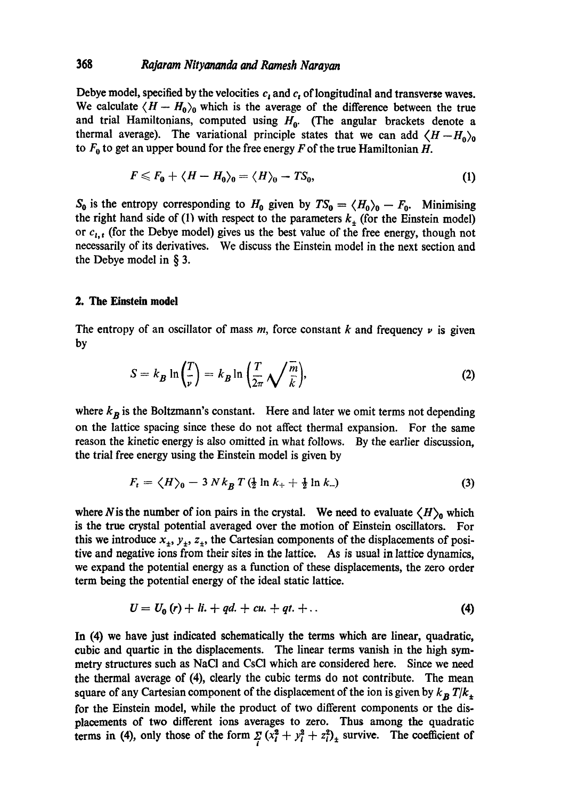## 368 *Rajaram Nityananda and Ramesh Narayan*

Debye model, specified by the velocities  $c_t$  and  $c_t$  of longitudinal and transverse waves. We calculate  $\langle H - H_0 \rangle_0$  which is the average of the difference between the true and trial Hamiltonians, computed using  $H_0$ . (The angular brackets denote a thermal average). The variational principle states that we can add  $\langle H - H_0 \rangle_0$ to  $F_0$  to get an upper bound for the free energy F of the true Hamiltonian H.

$$
F \leqslant F_0 + \langle H - H_0 \rangle_0 = \langle H \rangle_0 - TS_0, \tag{1}
$$

 $S_0$  is the entropy corresponding to  $H_0$  given by  $TS_0 = \langle H_0 \rangle_0 - F_0$ . Minimising the right hand side of (1) with respect to the parameters  $k_{\pm}$  (for the Einstein model) or  $c_{i,t}$  (for the Debye model) gives us the best value of the free energy, though not necessarily of its derivatives. We discuss the Einstein model in the next section and the Debye model in § 3.

### **2. The Einstein model**

The entropy of an oscillator of mass  $m$ , force constant  $k$  and frequency  $\nu$  is given by

$$
S = k_B \ln\left(\frac{T}{\nu}\right) = k_B \ln\left(\frac{T}{2\pi}\sqrt{\frac{m}{k}}\right),\tag{2}
$$

where  $k_B$  is the Boltzmann's constant. Here and later we omit terms not depending on the lattice spacing since these do not affect thermal expansion. For the same reason the kinetic energy is also omitted in what follows. By the earlier discussion, the trial free energy using the Einstein model is given by

$$
F_t = \langle H \rangle_0 - 3 N k_B T \left( \frac{1}{2} \ln k_+ + \frac{1}{2} \ln k_- \right) \tag{3}
$$

where N is the number of ion pairs in the crystal. We need to evaluate  $\langle H \rangle_0$  which is the true crystal potential averaged over the motion of Einstein oscillators. For this we introduce  $x_1, y_1, z_2$ , the Cartesian components of the displacements of positive and negative ions from their sites in the lattice. As is usual in lattice dynamics, we expand the potential energy as a function of these displacements, the zero order term being the potential energy of the ideal static lattice.

$$
U = U_0(r) + li. + qd. + cu. + qt. + \dots \tag{4}
$$

In (4) we have just indicated schematically the terms which are linear, quadratic, cubic and qnartic in the displacements. The linear terms vanish in the high symmetry structures such as NaCI and CsCI which are considered here. Since we need the thermal average of (4), clearly the cubic terms do not contribute. The mean square of any Cartesian component of the displacement of the ion is given by  $k_B T/k_A$ for the Einstein model, while the product of two different components or the displacements of two different ions averages to zero. Thus among the quadratic terms in (4), only those of the form  $\sum_{i} (x_i^2 + y_i^2 + z_i^2)_+$  survive. The coefficient of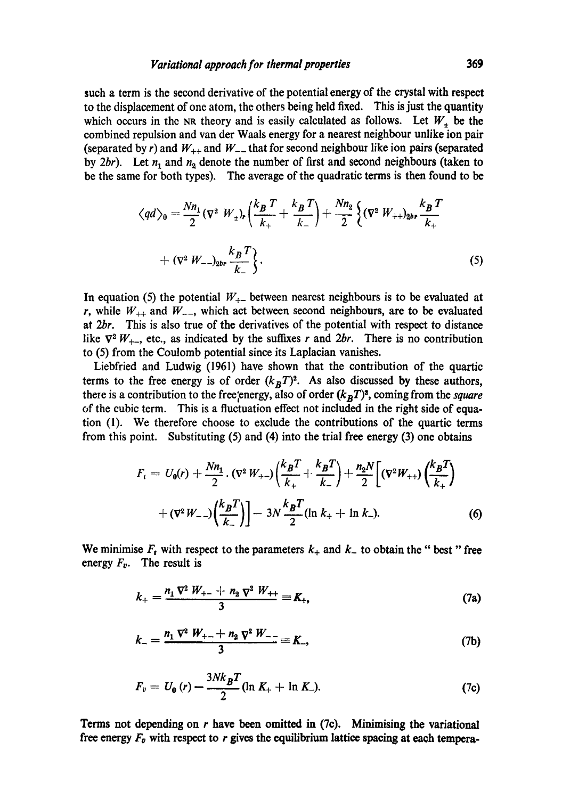such a term is the second derivative of the potential energy of the crystal with respect to the displacement of one atom, the others being held fixed. This is just the quantity which occurs in the NR theory and is easily calculated as follows. Let  $W<sub>+</sub>$  be the combined repulsion and van der Waals energy for a nearest neighbour unlike ion pair (separated by r) and  $W_{++}$  and  $W_{--}$  that for second neighbour like ion pairs (separated by 2br). Let  $n_1$  and  $n_2$  denote the number of first and second neighbours (taken to be the same for both types). The average of the quadratic terms is then found to be

$$
\langle qd \rangle_0 = \frac{Nn_1}{2} (\nabla^2 W_1)_r \left( \frac{k_B T}{k_+} + \frac{k_B T}{k_-} \right) + \frac{Nn_2}{2} \left\{ (\nabla^2 W_{++})_{2^{b}} \frac{k_B T}{k_+} + (\nabla^2 W_{--})_{2^{b}} \frac{k_B T}{k_-} \right\}.
$$
\n(5)

In equation (5) the potential  $W_{+-}$  between nearest neighbours is to be evaluated at r, while  $W_{++}$  and  $W_{--}$ , which act between second neighbours, are to be evaluated at *2br.* This is also true of the derivatives of the potential with respect to distance like  $\nabla^2 W_{++}$ , etc., as indicated by the suffixes r and 2br. There is no contribution to (5) from the Coulomb potential since its Laplacian vanishes.

Liebfried and Ludwig (1961) have shown that the contribution of the quartic terms to the free energy is of order  $(k_BT)^2$ . As also discussed by these authors, there is a contribution to the free, energy, also of order  $(k_BT)^2$ , coming from the *square* of the cubic term. This is a fluctuation effect not included in the right side of equation (1). We therefore choose to exclude the contributions of the quartic terms from this point. Substituting (5) and (4) into the trial free energy (3) one obtains

$$
F_t = U_0(r) + \frac{Nn_1}{2} \cdot (\nabla^2 W_{+-}) \left( \frac{k_B T}{k_+} + \frac{k_B T}{k_-} \right) + \frac{n_2 N}{2} \left[ (\nabla^2 W_{++}) \left( \frac{k_B T}{k_+} \right) + (\nabla^2 W_{--}) \left( \frac{k_B T}{k_-} \right) \right] - 3N \frac{k_B T}{2} (\ln k_+ + \ln k_-). \tag{6}
$$

We minimise  $F_t$  with respect to the parameters  $k_+$  and  $k_-$  to obtain the " best " free energy  $F_v$ . The result is

$$
k_{+} = \frac{n_{1} \nabla^{2} W_{+-} + n_{2} \nabla^{2} W_{++}}{3} \equiv K_{+}, \tag{7a}
$$

$$
k_{-} = \frac{n_1 \nabla^2 W_{+-} + n_2 \nabla^2 W_{--}}{3} = K_{-},
$$
 (7b)

$$
F_v = U_0(r) - \frac{3Nk_BT}{2} (\ln K_+ + \ln K_-). \tag{7c}
$$

Terms not depending on r have been omitted in (7c). Minimising the variational free energy  $F_v$  with respect to r gives the equilibrium lattice spacing at each tempera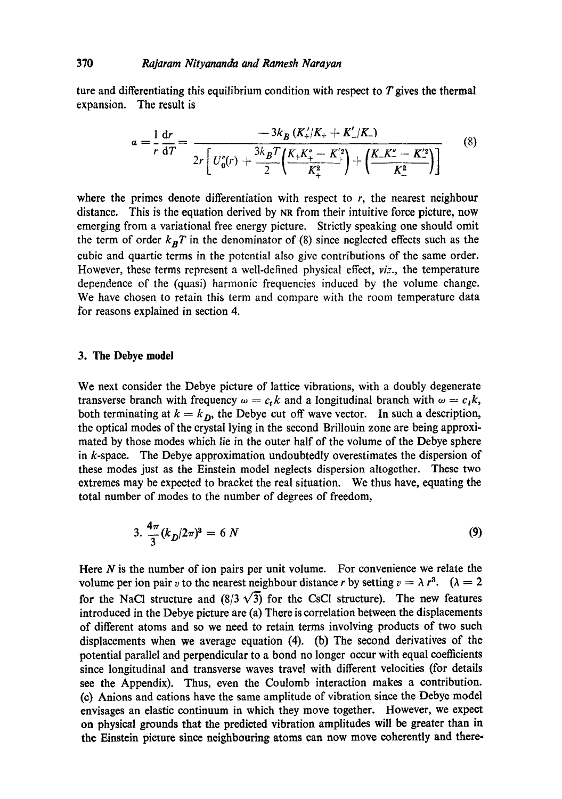ture and differentiating this equilibrium condition with respect to  $T$  gives the thermal expansion. The result is

$$
a = \frac{1}{r} \frac{dr}{dT} = \frac{-3k_B (K'_+ / K_+ + K'_- / K_-)}{2r \left[ U''_0(r) + \frac{3k_B T}{2} \left( \frac{K_+ K''_+ - K'^2}{K^2_+} \right) + \left( \frac{K_- K''_- - K'^2}{K^2_-} \right) \right]}
$$
(8)

where the primes denote differentiation with respect to  $r$ , the nearest neighbour distance. This is the equation derived by NR from their intuitive force picture, now emerging from a variational free energy picture. Strictly speaking one should omit the term of order  $k_B T$  in the denominator of (8) since neglected effects such as the cubic and quartic terms in the potential also give contributions of the same order. However, these terms represent a well-defined physical effect, *viz.,* the temperature dependence of the (quasi) harmonic frequencies induced by the volume change. We have chosen to retain this term and compare with the room temperature data for reasons explained in section 4.

### **3. The Debye model**

We next consider the Debye picture of lattice vibrations, with a doubly degenerate transverse branch with frequency  $\omega = c_t k$  and a longitudinal branch with  $\omega = c_t k$ , both terminating at  $k = k_D$ , the Debye cut off wave vector. In such a description, the optical modes of the crystal lying in the second Brillouin zone are being approximated by those modes which lie in the outer half of the volume of the Debye sphere in k-space. The Debye approximation undoubtedly overestimates the dispersion of these modes just as the Einstein model neglects dispersion altogether. These two extremes may be expected to bracket the real situation. We thus have, equating the total number of modes to the number of degrees of freedom,

$$
3. \frac{4\pi}{3} (k_D/2\pi)^3 = 6 N \tag{9}
$$

Here  $N$  is the number of ion pairs per unit volume. For convenience we relate the volume per ion pair v to the nearest neighbour distance r by setting  $v = \lambda r^3$ .  $(\lambda = 2$ for the NaCl structure and  $(8/3 \sqrt{3})$  for the CsCl structure). The new features introduced in the Debye picture are (a) There is correlation between the displacements of different atoms and so we need to retain terms involving products of two such displacements when we average equation (4). (b) The second derivatives of the potential parallel and perpendicular to a bond no longer occur with equal coefficients since longitudinal and transverse waves travel with different velocities (for details see the Appendix). Thus, even the Coulomb interaction makes a contribution. (c) Anions and cations have the same amplitude of vibration since the Debye model envisages an elastic continuum in which they move together. However, we expect on physical grounds that the predicted vibration amplitudes will be greater than in the Einstein picture since neighbouring atoms can now move coherently and there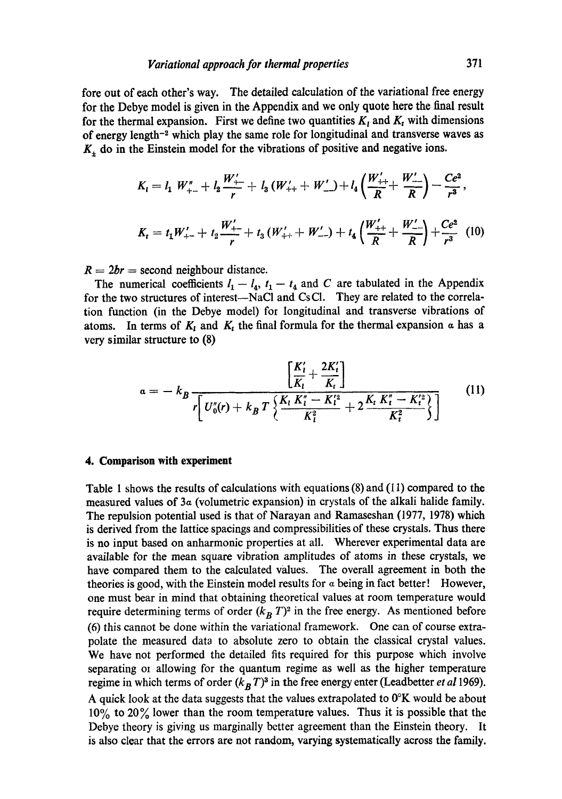fore out of each other's way. The detailed calculation of the variational free energy for the Debye model is given in the Appendix and we only quote here the final result for the thermal expansion. First we define two quantities  $K_t$  and  $K_t$  with dimensions of energy length<sup>-2</sup> which play the same role for longitudinal and transverse waves as  $K_{+}$  do in the Einstein model for the vibrations of positive and negative ions.

$$
K_{i} = l_{1} W_{+-}'' + l_{2} \frac{W_{+-}'}{r} + l_{3} (W_{++} + W_{-}') + l_{4} \left(\frac{W_{++}'}{R} + \frac{W_{--}'}{R}\right) - \frac{Ce^{2}}{r^{3}},
$$
  

$$
K_{t} = t_{1} W_{+-}' + t_{2} \frac{W_{+-}'}{r} + t_{3} (W_{++}' + W_{--}') + t_{4} \left(\frac{W_{++}'}{R} + \frac{W_{--}'}{R}\right) + \frac{Ce^{2}}{r^{3}} (10)
$$

 $R = 2br =$  second neighbour distance.

The numerical coefficients  $l_1 - l_4$ ,  $t_1 - t_4$  and C are tabulated in the Appendix for the two structures of interest--NaCl and CsCl. They are related to the correlation function (in the Debye model) for longitudinal and transverse vibrations of atoms. In terms of  $K_t$  and  $K_t$  the final formula for the thermal expansion  $\alpha$  has a very similar structure to (8)

$$
a = -k_B \frac{\left[\frac{K'_l}{K_l} + \frac{2K'_l}{K_l}\right]}{r \left[ U''_0(r) + k_B T \left\{ \frac{K_l K''_l - K'^2_l}{K_l^2} + 2 \frac{K_l K''_l - K'^2_l}{K_l^2} \right\} \right]}
$$
(11)

#### **4. Comparison with experiment**

Table 1 shows the results of calculations with equations  $(8)$  and  $(11)$  compared to the measured values of 3a (volumetric expansion) in crystals of the alkali halide family. The repulsion potential used is that of Narayan and Ramaseshan (1977, 1978) which is derived from the lattice spacings and compressibilities of these crystals. Thus there is no input based on anharmonic properties at all. Wherever experimental data are available for the mean square vibration amplitudes of atoms in these crystals, we have compared them to the calculated values. The overall agreement in both the theories is good, with the Einstein model results for  $\alpha$  being in fact better! However, one must bear in mind that obtaining theoretical values at room temperature would require determining terms of order  $(k_B T)^2$  in the free energy. As mentioned before  $(6)$  this cannot be done within the variational framework. One can of course extrapolate the measured data to absolute zero to obtain the classical crystal values. We have not performed the detailed fits required for this purpose which involve separating oi allowing for the quantum regime as well as the higher temperature regime in which terms of order  $(k_B T)^3$  in the free energy enter (Leadbetter *et al* 1969). A quick look at the data suggests that the values extrapolated to 0°K would be about  $10\%$  to  $20\%$  lower than the room temperature values. Thus it is possible that the Debye theory is giving us marginally better agreement than the Einstein theory. It is also clear that the errors are not random, varying systematically across the family.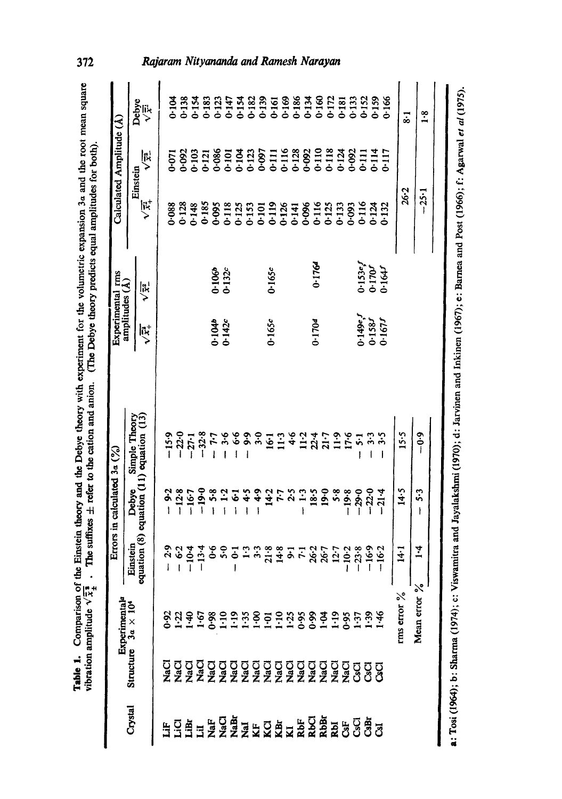| cory with experiment for the volumetric expansion 3a and the root mean squar-<br>į<br>in a little dag<br>- value and anion. (The Debye theory predicts equal amount<br>Ay and the Debye theory with<br>he suffixes $\pm$ refer to the cation an<br>The first car of<br>t |
|--------------------------------------------------------------------------------------------------------------------------------------------------------------------------------------------------------------------------------------------------------------------------|
|                                                                                                                                                                                                                                                                          |
|                                                                                                                                                                                                                                                                          |
|                                                                                                                                                                                                                                                                          |

|                               | Experimental <sup>a</sup>  |                          | Errors in calculated $3\alpha$ ( $\frac{9}{6}$ ) |                                                                          |                                     | Experimental rms<br>amplitudes (A)                       |                         | Calculated Amplitude (A)          |                                             |
|-------------------------------|----------------------------|--------------------------|--------------------------------------------------|--------------------------------------------------------------------------|-------------------------------------|----------------------------------------------------------|-------------------------|-----------------------------------|---------------------------------------------|
| Crystal                       | Structure $3a \times 10^4$ |                          |                                                  |                                                                          |                                     |                                                          |                         | Einstein                          |                                             |
|                               |                            |                          |                                                  | Einstein Debye Simple Theory<br>equation (8) equation (11) equation (13) | $\sqrt{\bar{x}_+^2}$                | $\sqrt{\frac{1}{x}}$                                     | $\sqrt{\vec{x}}$        | ダン                                | Debye<br>ぶく                                 |
| <b>HEAHERANDA ERRA ESCALA</b> |                            | 2.9<br>$\mathbf i$       | $-9.2$                                           | $-15.9$                                                                  |                                     |                                                          | 088                     | $-071$                            |                                             |
|                               |                            | 6.2<br>Ï                 | $-12.8$                                          | $-22.0$                                                                  |                                     |                                                          |                         |                                   | 0.104                                       |
|                               |                            | $-10-4$                  | $-16-7$                                          | $-27.1$                                                                  |                                     |                                                          |                         | 0.092                             |                                             |
|                               |                            | 13.4<br>ī                | $-19.0$                                          | $-32.8$                                                                  |                                     |                                                          | 0.128<br>0.148<br>0.185 |                                   |                                             |
|                               |                            | $6\cdot$                 | 5.8                                              | 7.7                                                                      |                                     |                                                          |                         | $0 - 121$                         | 833827788568878628878<br>555655555555555555 |
|                               |                            | $5-0$                    |                                                  |                                                                          | $0.104$<br>$0.142c$                 | $0.106b$<br>$0.132c$                                     | 0.095                   | 0.086                             |                                             |
|                               |                            |                          | $\ddot{1}$                                       | $-3.6$<br>- 6.6                                                          |                                     |                                                          | 0.118                   | $01 -$                            |                                             |
|                               |                            | $\overline{c}$<br>ı      | ē                                                |                                                                          |                                     |                                                          | 0.125                   |                                   |                                             |
|                               |                            | $\mathbf{r}$             | $\boldsymbol{\ddot{z}}$                          | $-9.9$                                                                   |                                     |                                                          | 0.153                   | 3133<br>3123<br>30001116<br>31116 |                                             |
|                               |                            | 3.3                      | $\ddot{\cdot}$                                   | $\ddot{ }$                                                               |                                     |                                                          | 0.101                   |                                   |                                             |
|                               |                            | 21.8                     | 14.2                                             | $\overline{6}$                                                           | 0.165c                              | 0.165c                                                   |                         |                                   |                                             |
|                               |                            | 14.8                     |                                                  |                                                                          |                                     |                                                          | $0.119$<br>$0.126$      |                                   |                                             |
|                               |                            | $3.7$<br>$7.7$<br>$26.7$ | 7.5                                              | $\frac{1}{4}$ + 6                                                        |                                     |                                                          |                         |                                   |                                             |
|                               |                            |                          | $\mathbb{C}$                                     | $\ddot{5}$                                                               |                                     |                                                          | 0.141<br>0.096<br>0.116 | 0.128                             |                                             |
|                               |                            |                          | 18.5                                             | $\ddot{2}$                                                               | 0.1704                              | 0.1764                                                   |                         |                                   |                                             |
|                               |                            |                          | $19-0$                                           | 21.7                                                                     |                                     |                                                          |                         | 0-110<br>0-113<br>0-124           |                                             |
|                               |                            | 12.7                     | 5.8                                              |                                                                          |                                     |                                                          | 0.125                   |                                   |                                             |
|                               |                            |                          |                                                  | $\ddot{1}$                                                               |                                     |                                                          | 33                      |                                   |                                             |
|                               |                            | $10-2$                   | $-19.8$                                          | 17.6                                                                     |                                     |                                                          | 0.093                   | 0.092                             |                                             |
|                               |                            | 23.8                     | $-29.0$                                          | $\ddot{\cdot}$                                                           |                                     |                                                          | 0.116                   |                                   | $0 - 152$                                   |
|                               |                            | $-16.9$                  | $-22.0$                                          | 3.3                                                                      |                                     |                                                          | 0.124                   |                                   |                                             |
|                               |                            | $-16.2$                  | 21.4                                             | 5.5                                                                      | $0.149e, f$<br>$0.158f$<br>$0.158f$ | $0.153e^{f}$<br>0.170 <sup>r</sup><br>0.164 <sup>r</sup> | $-132$                  | 111<br>1114<br>1117<br>1117       | 0.159<br>0.166                              |
|                               | rms error $\%$             | $\frac{14}{1}$           | 14.5                                             | 15.5                                                                     |                                     |                                                          | $26 - 2$                |                                   | $\overline{\cdot}$                          |
|                               | Mean error %               | $\ddot{•}$               | 5.3<br>ì                                         | $-0.9$                                                                   |                                     |                                                          | $-25 - 1$               |                                   | $\frac{8}{1}$                               |
|                               |                            |                          |                                                  |                                                                          |                                     |                                                          |                         |                                   |                                             |
| .<br>.<br>.                   |                            |                          |                                                  |                                                                          |                                     |                                                          |                         |                                   |                                             |

a: Tosi (1964); b: Sharma (1974); c: Viswamitra and Jayalakshmi (1970); d: Jarvinen and Inkinen (1967); e: Barnea and Post (1966); f: Agarwal et al (1975). a: Tosi (1964); b: Sharma (1974); c: Viswamitra and Jayalakshmi (1970); d: Jarvinen and Inkinen (1967); e: Barnea and Post (1966); f: Agarwal *et al* (1975).

# 372

# Rajaram Nityananda and Ramesh Narayan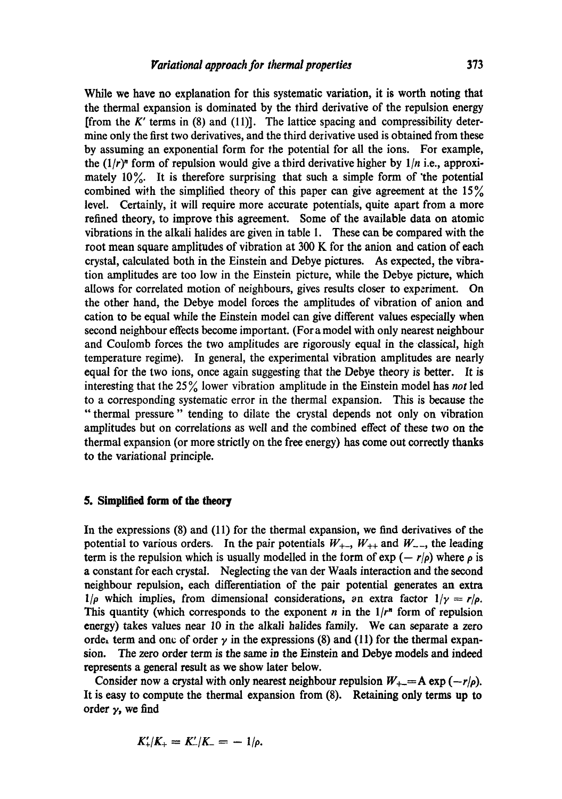While we have no explanation for this systematic variation, it is worth noting that the thermal expansion is dominated by the third derivative of the repulsion energy [from the  $K'$  terms in (8) and (11)]. The lattice spacing and compressibility determine only the first two derivatives, and the third derivative used is obtained from these by assuming an exponential form for the potential for all the ions. For example, the  $(1/r)^n$  form of repulsion would give a third derivative higher by  $1/n$  i.e., approximately 10%. It is therefore surprising that such a simple form of 'the potential combined with the simplified theory of this paper can give agreement at the  $15\%$ level. Certainly, it will require more accurate potentials, quite apart from a more refined theory, to improve this agreement. Some of the available data on atomic vibrations in the alkali halides are given in table 1. These can be compared with the root mean square amplitudes of vibration at 300 K for the anion and cation of each crystal, calculated both in the Einstein and Debye pictures. As expected, the vibration amplitudes are too low in the Einstein picture, while the Debye picture, which allows for correlated motion of neighbours, gives results closer to experiment. On the other hand, the Debye model forces the amplitudes of vibration of anion and cation to be equal while the Einstein model can give different values especially when second neighbour effects become important. (For a model with only nearest neighbour and Coulomb forces the two amplitudes are rigorously equal in the classical, high temperature regime). In general, the experimental vibration amplitudes are nearly equal for the two ions, once again suggesting that the Debye theory is better. It is interesting that the 25 % lower vibration amplitude in the Einstein model has *not* led to a corresponding systematic error in the thermal expansion. This is because the "thermal pressure" tending to dilate the crystal depends not only on vibration amplitudes but on correlations as well and the combined effect of these two on the thermal expansion (or more strictly on the free energy) has come out correctly thanks to the variational principle.

### **5. Simplified form of the theory**

In the expressions (8) and (11) for the thermal expansion, we find derivatives of the potential to various orders. In the pair potentials  $W_{+-}$ ,  $W_{++}$  and  $W_{--}$ , the leading term is the repulsion which is usually modelled in the form of  $\exp(-r/\rho)$  where  $\rho$  is a constant for each crystal. Neglecting the van der Waals interaction and the second neighbour repulsion, each differentiation of the pair potential generates an extra  $1/\rho$  which implies, from dimensional considerations, an extra factor  $1/\gamma = r/\rho$ . This quantity (which corresponds to the exponent  $n$  in the  $1/r^n$  form of repulsion energy) takes values near 10 in the alkali halides family. We can separate a zero orde, term and one of order  $\gamma$  in the expressions (8) and (11) for the thermal expansion. The zero order term is the same in the Einstein and Debye models and indeed represents a general result as we show later below.

Consider now a crystal with only nearest neighbour repulsion  $W_{+-} = A \exp(-r/\rho)$ . It is easy to compute the thermal expansion from (8). Retaining only terms up to order  $\gamma$ , we find

$$
K'_{+}/K_{+} = K'_{-}/K_{-} = -1/\rho.
$$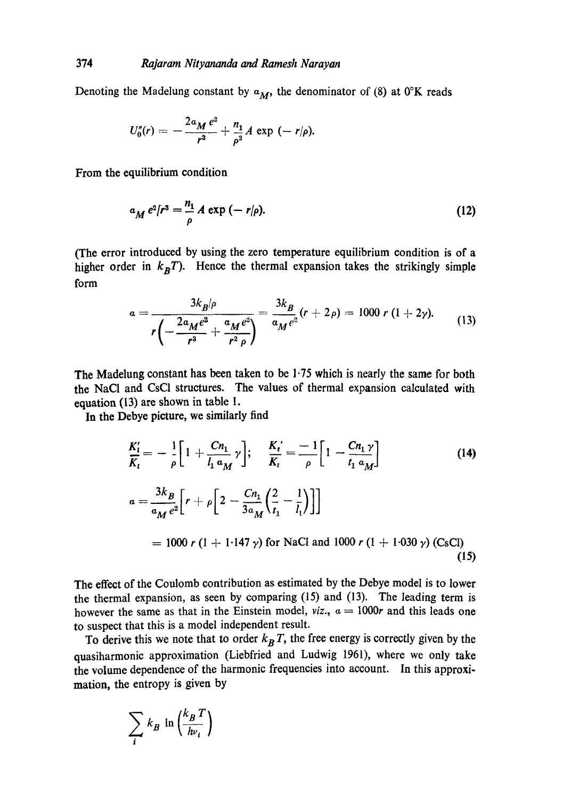Denoting the Madelung constant by  $a_M$ , the denominator of (8) at  $0^\circ$ K reads

$$
U''_0(r) = -\frac{2a_M e^2}{r^3} + \frac{n_1}{\rho^2} A \exp(-r/\rho).
$$

From the equilibrium condition

$$
a_M e^2/r^3 = \frac{n_1}{\rho} A \exp(-r/\rho).
$$
 (12)

(The error introduced by using the zero temperature equilibrium condition is of a higher order in  $k_BT$ ). Hence the thermal expansion takes the strikingly simple form

$$
a = \frac{3k_B/\rho}{r\left(-\frac{2a_Me^2}{r^3} + \frac{a_Me^2}{r^2\rho}\right)} = \frac{3k_B}{a_Me^2}(r+2\rho) = 1000 r (1+2\gamma). \tag{13}
$$

The Madelung constant has been taken to be 1.75 which is nearly the same for both the NaCI and CsCI structures. The values of thermal expansion calculated with equation (13) are shown in table 1.

In the Debye picture, we similarly find

$$
\frac{K'_l}{K_l} = -\frac{1}{\rho} \Big[ 1 + \frac{Cn_1}{l_1 a_M} \gamma \Big]; \quad \frac{K_t'}{K_t} = -\frac{1}{\rho} \Big[ 1 - \frac{Cn_1 \gamma}{l_1 a_M} \Big]
$$
(14)  

$$
a = \frac{3k_B}{a_M e^2} \Big[ r + \rho \Big[ 2 - \frac{Cn_1}{3a_M} \Big( \frac{2}{l_1} - \frac{1}{l_1} \Big) \Big] \Big]
$$

$$
= 1000 \ r \ (1 + 1.147 \ \gamma) \text{ for NaCl and } 1000 \ r \ (1 + 1.030 \ \gamma) \text{ (CSCl)}
$$
(15)

The effect of the Coulomb contribution as estimated by the Debye model is to lower the thermal expansion, as seen by comparing (15) and (13). The leading term is however the same as that in the Einstein model, *viz.*,  $a = 1000r$  and this leads one to suspect that this is a model independent result.

To derive this we note that to order  $k_B T$ , the free energy is correctly given by the quasiharmonic approximation (Liebfried and Ludwig 1961), where we only take the volume dependence of the harmonic frequencies into account. In this approximation, the entropy is given by

$$
\sum_{i} k_B \ln \left( \frac{k_B T}{h v_i} \right)
$$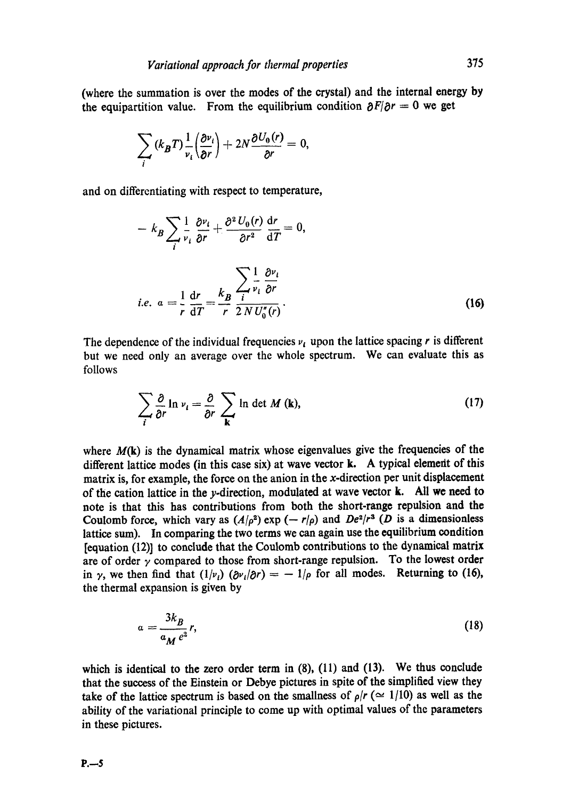(where the summation is over the modes of the crystal) and the internal energy by the equipartition value. From the equilibrium condition  $\partial F/\partial r = 0$  we get

$$
\sum_i (k_B T) \frac{1}{v_i} \left( \frac{\partial v_i}{\partial r} \right) + 2N \frac{\partial U_0(r)}{\partial r} = 0,
$$

and on differentiating with respect to temperature,

$$
- k_B \sum_{i} \frac{1}{v_i} \frac{\partial v_i}{\partial r} + \frac{\partial^2 U_0(r)}{\partial r^2} \frac{dr}{dT} = 0,
$$
  
*i.e.*  $a = \frac{1}{r} \frac{dr}{dT} = \frac{k_B}{r} \frac{\sum_{i} \frac{1}{v_i} \frac{\partial v_i}{\partial r}}{\sum_{i} \frac{\partial v_i}{\partial T}}.$  (16)

The dependence of the individual frequencies  $v_i$  upon the lattice spacing r is different but we need only an average over the whole spectrum. We can evaluate this as follows

$$
\sum_{i} \frac{\partial}{\partial r} \ln \nu_{i} = \frac{\partial}{\partial r} \sum_{\mathbf{k}} \ln \det M(\mathbf{k}), \qquad (17)
$$

where  $M(k)$  is the dynamical matrix whose eigenvalues give the frequencies of the different lattice modes (in this case six) at wave vector k. A typical demerit of this matrix is, for example, the force on the anion in the  $x$ -direction per unit displacement of the cation lattice in the y.direction, modulated at wave vector k. All we need to note is that this has contributions from both the short-range repulsion and the Coulomb force, which vary as  $(A/\rho^2)$  exp  $(-r/\rho)$  and  $De^2/r^2$  (D is a dimensionless lattice sum). In comparing the two terms we can again use the equilibrium condition [equation (12)] to conclude that the Coulomb contributions to the dynamical matrix are of order  $\gamma$  compared to those from short-range repulsion. To the lowest order in  $\gamma$ , we then find that  $(1/\nu_i)$   $(\partial \nu_i/\partial r) = -1/\rho$  for all modes. Returning to (16), the thermal expansion is given by

$$
a = \frac{3k_B}{a_M e^2} r,
$$
\n(18)

which is identical to the zero order term in  $(8)$ ,  $(11)$  and  $(13)$ . We thus conclude that the success of the Einstein or Debye pictures in spite of the simplified view they take of the lattice spectrum is based on the smallness of  $\rho/r \approx 1/10$ ) as well as the ability of the variational principle to come up with optimal values of the parameters in these pictures.

**P.--5**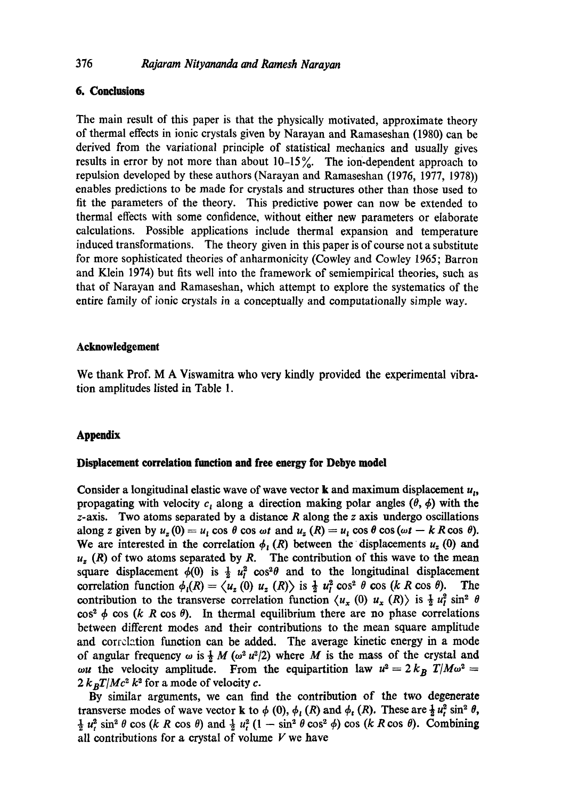# 376 *Rajaram Nityananda and Ramesh Narayan*

# **6. Conclusions**

The main result of this paper is that the physically motivated, approximate theory of thermal effects in ionic crystals given by Narayan and Ramaseshan (1980) can be derived from the variational principle of statistical mechanics and usually gives results in error by not more than about  $10-15\%$ . The ion-dependent approach to repulsion developed by these authors (Narayan and Ramaseshan (1976, 1977, 1978)) enables predictions to be made for crystals and structures other than those used to fit the parameters of the theory. This predictive power can now be extended to thermal effects with some confidence, without either new parameters or elaborate calculations. Possible applications include thermal expansion and temperature induced transformations. The theory given in this paper is of course not a substitute for more sophisticated theories of anharmonicity (Cowley and Cowley 1965; Barron and Klein 1974) but fits well into the framework of semiempirical theories, such as that of Narayan and Ramaseshan, which attempt to explore the systematics of the entire family of ionic crystals in a conceptually and computationally simple way.

### **Acknowledgement**

We thank Prof. M A Viswamitra who very kindly provided the experimental vibration amplitudes listed in Table 1.

## **Appendix**

### **Displacement correlation function and free energy for Debye model**

Consider a longitudinal elastic wave of wave vector **k** and maximum displacement  $u_t$ , propagating with velocity  $c_i$  along a direction making polar angles ( $\theta$ ,  $\phi$ ) with the  $z$ -axis. Two atoms separated by a distance  $R$  along the  $z$  axis undergo oscillations along z given by  $u_z(0) = u_1 \cos \theta \cos \omega t$  and  $u_z(R) = u_1 \cos \theta \cos (\omega t - k R \cos \theta)$ . We are interested in the correlation  $\phi_I(R)$  between the displacements  $u_z(0)$  and  $u<sub>z</sub>$  (R) of two atoms separated by R. The contribution of this wave to the mean square displacement  $\phi(0)$  is  $\frac{1}{2} u_i^2 \cos^2 \theta$  and to the longitudinal displacement correlation function  $\phi_i(R) = \langle u_z(0) u_z(R) \rangle$  is  $\frac{1}{2} u_i^2 \cos^2 \theta \cos (k \cdot R \cos \theta)$ . The contribution to the transverse correlation function  $\langle u_x (0) u_x (R) \rangle$  is  $\frac{1}{2} u_t^2 \sin^2 \theta$  $\cos^2 \phi \cos (k \ R \cos \theta)$ . In thermal equilibrium there are no phase correlations between different modes and their contributions to the mean square amplitude and correlation function can be added. The average kinetic energy in a mode of angular frequency  $\omega$  is  $\frac{1}{2} M (\omega^2 u^2 / 2)$  where M is the mass of the crystal and ou the velocity amplitude. From the equipartition law  $u^2 = 2 k_B T/M\omega^2 =$  $2 k_B T/Mc^2 k^2$  for a mode of velocity c.

By similar arguments, we can find the contribution of the two degenerate transverse modes of wave vector **k** to  $\phi$  (0),  $\phi$ <sub>*i*</sub> (R) and  $\phi$ <sub>*t*</sub> (R). These are  $\frac{1}{2}u_i^2 \sin^2 \theta$ ,  $\frac{1}{2} u_r^2 \sin^2 \theta \cos (k \ R \cos \theta)$  and  $\frac{1}{2} u_r^2 (1 - \sin^2 \theta \cos^2 \phi) \cos (k \ R \cos \theta)$ . Combining all contributions for a crystal of volume  $V$  we have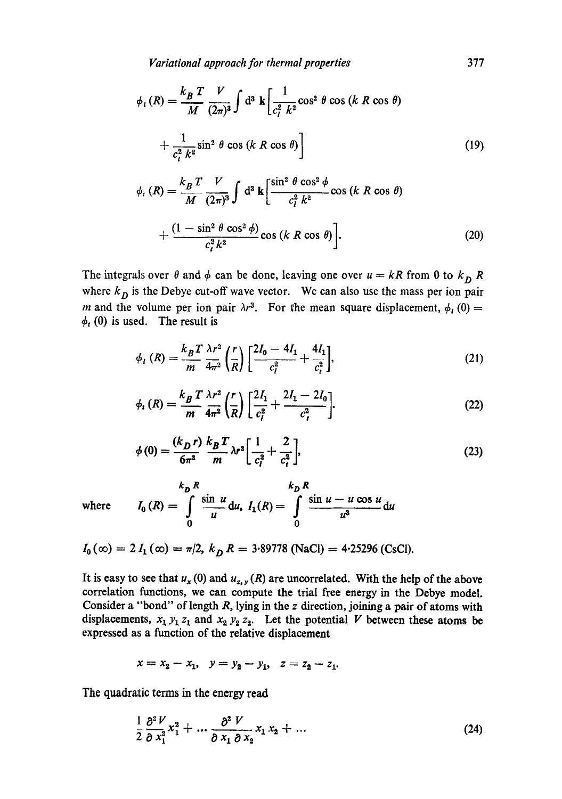*Variational approach for thermal properties* 377

$$
\phi_{l}(R) = \frac{k_B T}{M} \frac{V}{(2\pi)^3} \int d^3 \mathbf{k} \left[ \frac{1}{c_l^2 k^2} \cos^2 \theta \cos (k \ R \cos \theta) + \frac{1}{c_l^2 k^2} \sin^2 \theta \cos (k \ R \cos \theta) \right]
$$
\n(19)

$$
\phi_t(R) = \frac{k_B T}{M} \frac{V}{(2\pi)^3} \int d^3 \mathbf{k} \left[ \frac{\sin^2 \theta \cos^2 \phi}{c_l^2 k^2} \cos (k \ R \cos \theta) + \frac{(1 - \sin^2 \theta \cos^2 \phi)}{c_l^2 k^2} \cos (k \ R \cos \theta) \right].
$$
\n(20)

The integrals over  $\theta$  and  $\phi$  can be done, leaving one over  $u = kR$  from 0 to  $k_D R$ where  $k_D$  is the Debye cut-off wave vector. We can also use the mass per ion pair m and the volume per ion pair  $\lambda r^3$ . For the mean square displacement,  $\phi_l$  (0) =  $\phi_t$  (0) is used. The result is

$$
\phi_{l}(R) = \frac{k_{B}T}{m} \frac{\lambda r^{2}}{4\pi^{2}} \left(\frac{r}{R}\right) \left[\frac{2I_{0} - 4I_{1}}{c_{l}^{2}} + \frac{4I_{1}}{c_{l}^{2}}\right],
$$
\n(21)

$$
\phi_t(R) = \frac{k_B T}{m} \frac{\lambda r^2}{4\pi^2} \left(\frac{r}{R}\right) \left[\frac{2I_1}{c_i^2} + \frac{2I_1 - 2I_0}{c_i^2}\right].
$$
\n(22)

$$
\phi(0) = \frac{(k_D r)}{6\pi^2} \frac{k_B T}{m} \lambda r^2 \left[ \frac{1}{c_i^2} + \frac{2}{c_i^2} \right],
$$
\n(23)

where 
$$
I_0(R) = \int_0^R \frac{\sin u}{u} du
$$
,  $I_1(R) = \int_0^R \frac{\sin u - u \cos u}{u^3} du$ 

$$
I_0(\infty) = 2 I_1(\infty) = \pi/2, k_D R = 3.89778 \text{ (NaCl)} = 4.25296 \text{ (CsCl)}.
$$

It is easy to see that  $u_x(0)$  and  $u_{z,y}(R)$  are uncorrelated. With the help of the above correlation functions, we can compute the trial free energy in the Debye model. Consider a "bond" of length R, lying in the z direction, joining a pair of atoms with displacements,  $x_1 y_1 z_1$  and  $x_2 y_2 z_2$ . Let the potential V between these atoms be expressed as a function of the relative displacement

$$
x = x_2 - x_1, \quad y = y_2 - y_1, \quad z = z_2 - z_1.
$$

The quadratic terms in the energy read

$$
\frac{1}{2}\frac{\partial^2 V}{\partial x_1^2}x_1^2 + \dots + \frac{\partial^2 V}{\partial x_1 \partial x_2}x_1x_2 + \dots \tag{24}
$$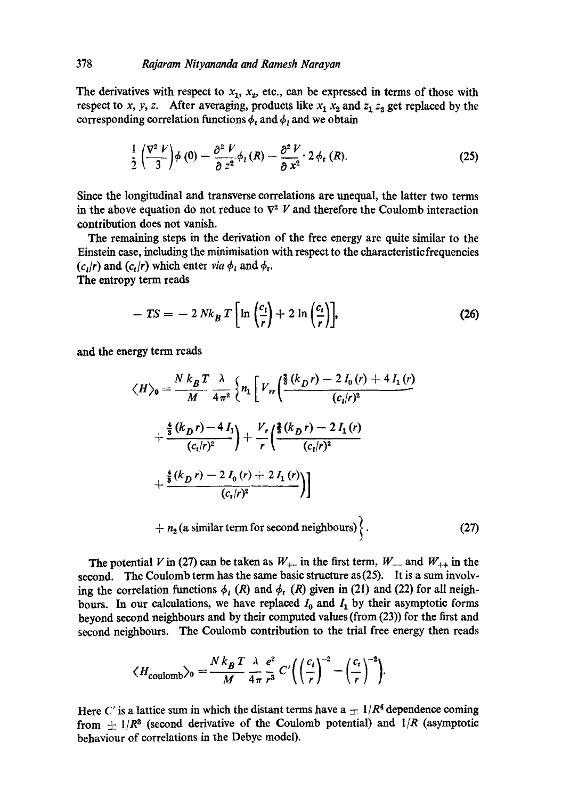The derivatives with respect to  $x_1$ ,  $x_2$ , etc., can be expressed in terms of those with respect to x, y, z. After averaging, products like  $x_1 x_2$  and  $z_1 z_2$  get replaced by the corresponding correlation functions  $\phi_t$  and  $\phi_t$  and we obtain

$$
\frac{1}{2}\left(\frac{\nabla^2 V}{3}\right)\phi(0) - \frac{\partial^2 V}{\partial z^2}\phi_t(R) - \frac{\partial^2 V}{\partial x^2} \cdot 2\phi_t(R). \tag{25}
$$

Since the longitudinal and transverse correlations are unequal, the latter two terms in the above equation do not reduce to  $\nabla^2$  V and therefore the Coulomb interaction contribution does not vanish.

The remaining steps in the derivation of the free energy are quite similar to the Einstein case, including the minimisation with respect to the characteristic frequencies  $(c_i/r)$  and  $(c_i/r)$  which enter *via*  $\phi_i$  and  $\phi_i$ .

The entropy term reads

$$
-TS = -2 Nk_B T \left[ \ln \left( \frac{c_l}{r} \right) + 2 \ln \left( \frac{c_t}{r} \right) \right],
$$
 (26)

and the energy term reads

$$
\langle H \rangle_0 = \frac{N k_B T}{M} \frac{\lambda}{4 \pi^2} \left\{ n_1 \left[ V_{rr} \left( \frac{\frac{2}{3} (k_D r) - 2 I_0 (r) + 4 I_1 (r)}{(c_i/r)^2} + \frac{\frac{4}{3} (k_D r) - 4 I_1}{(c_i/r)^2} \right) + \frac{V_r}{r} \left( \frac{\frac{2}{3} (k_D r) - 2 I_1 (r)}{(c_i/r)^2} + \frac{\frac{4}{3} (k_D r) - 2 I_0 (r) + 2 I_1 (r)}{(c_i/r)^2} \right) \right] + n_2 (a similar term for second neighbours) \right\}.
$$
 (27)

The potential V in (27) can be taken as  $W_{+-}$  in the first term,  $W_{--}$  and  $W_{++}$  in the second. The Coulomb term has the same basic structure as(25). It is a sum involving the correlation functions  $\phi_i$  (R) and  $\phi_i$  (R) given in (21) and (22) for all neighbours. In our calculations, we have replaced  $I_0$  and  $I_1$  by their asymptotic forms beyond second neighbours and by their computed values (from (23)) for the first and second neighbours. The Coulomb contribution to the trial free energy then reads

$$
\langle H_{\text{coulomb}} \rangle_0 = \frac{N k_B T}{M} \frac{\lambda}{4 \pi} \frac{e^2}{r^3} C' \bigg( \left( \frac{c_i}{r} \right)^{-2} - \left( \frac{c_i}{r} \right)^{-2} \bigg).
$$

Here C' is a lattice sum in which the distant terms have  $a \pm 1/R^4$  dependence coming from  $\pm 1/R^3$  (second derivative of the Coulomb potential) and  $1/R$  (asymptotic behaviour of correlations in the Debye model).